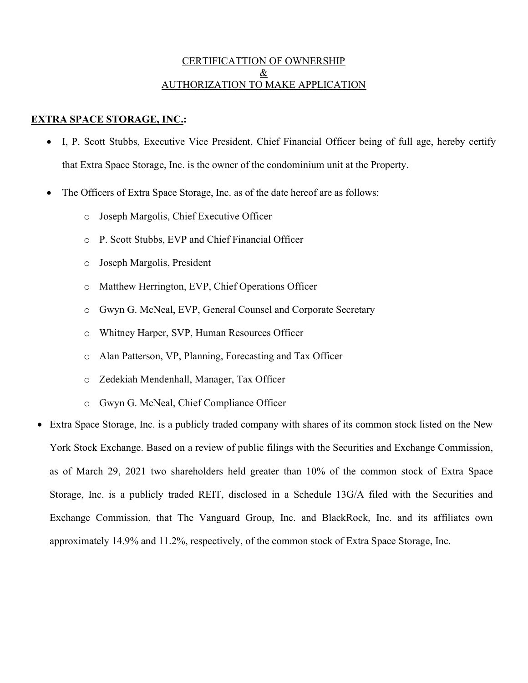## CERTIFICATTION OF OWNERSHIP & AUTHORIZATION TO MAKE APPLICATION

## EXTRA SPACE STORAGE, INC.:

- I, P. Scott Stubbs, Executive Vice President, Chief Financial Officer being of full age, hereby certify that Extra Space Storage, Inc. is the owner of the condominium unit at the Property.
- The Officers of Extra Space Storage, Inc. as of the date hereof are as follows:
	- o Joseph Margolis, Chief Executive Officer
	- o P. Scott Stubbs, EVP and Chief Financial Officer
	- o Joseph Margolis, President
	- o Matthew Herrington, EVP, Chief Operations Officer
	- o Gwyn G. McNeal, EVP, General Counsel and Corporate Secretary
	- o Whitney Harper, SVP, Human Resources Officer
	- o Alan Patterson, VP, Planning, Forecasting and Tax Officer
	- o Zedekiah Mendenhall, Manager, Tax Officer
	- o Gwyn G. McNeal, Chief Compliance Officer
- Extra Space Storage, Inc. is a publicly traded company with shares of its common stock listed on the New York Stock Exchange. Based on a review of public filings with the Securities and Exchange Commission, as of March 29, 2021 two shareholders held greater than 10% of the common stock of Extra Space Storage, Inc. is a publicly traded REIT, disclosed in a Schedule 13G/A filed with the Securities and Exchange Commission, that The Vanguard Group, Inc. and BlackRock, Inc. and its affiliates own approximately 14.9% and 11.2%, respectively, of the common stock of Extra Space Storage, Inc.